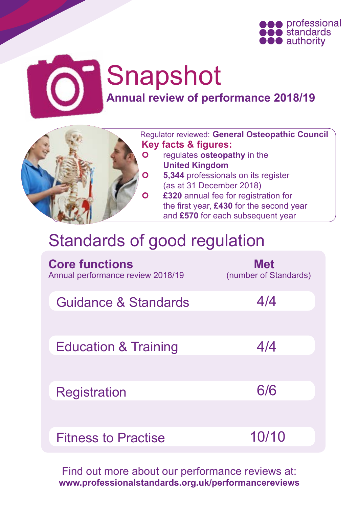

# Snapshot **Annual review of performance 2018/19**

 Regulator reviewed: **General Osteopathic Council Key facts & figures:**

- **o** regulates **osteopathy** in the **United Kingdom**
- **6** 5,344 professionals on its register (as at 31 December 2018)
- **£320** annual fee for registration for the first year, **£430** for the second year and **£570** for each subsequent year

# Standards of good regulation

| <b>Core functions</b><br>Annual performance review 2018/19 | <b>Met</b><br>(number of Standards) |
|------------------------------------------------------------|-------------------------------------|
| Guidance & Standards                                       | 4/4                                 |
|                                                            |                                     |
| <b>Education &amp; Training</b>                            | 4/4                                 |
|                                                            |                                     |
| <b>Registration</b>                                        | 6/6                                 |
|                                                            |                                     |
| <b>Fitness to Practise</b>                                 | 10/10                               |

Find out more about our performance reviews at: **[www.professionalstandards.org.uk/performancereviews](http://www.professionalstandards.org.uk/performancereviews)**